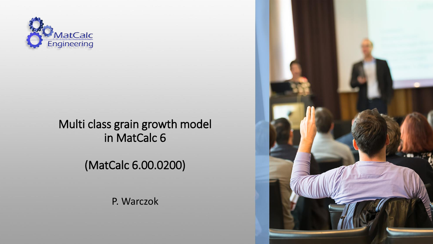

#### Multi class grain growth model in MatCalc 6

(MatCalc 6.00.0200)

P. Warczok

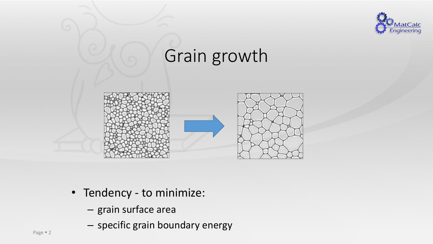

### Grain growth





- Tendency to minimize:
	- grain surface area
	- specific grain boundary energy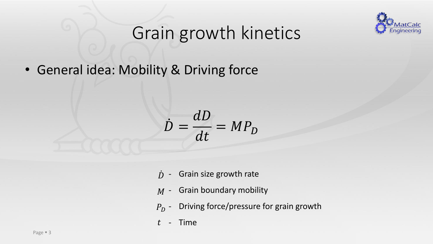

• General idea: Mobility & Driving force

$$
\dot{D} = \frac{dD}{dt} = MP_D
$$

- Grain size growth rate  $\dot{D}$  -
- $M$  Grain boundary mobility
- $P_D$  Driving force/pressure for grain growth
- Time  $t$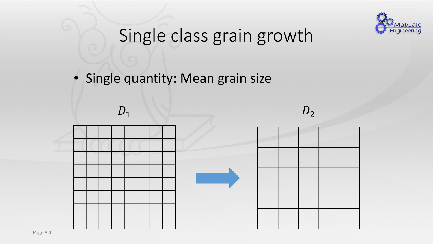

### Single class grain growth

• Single quantity: Mean grain size

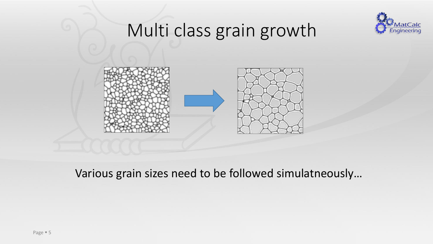

### Multi class grain growth



Various grain sizes need to be followed simulatneously…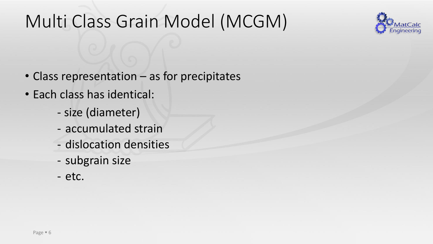### Multi Class Grain Model (MCGM)



- Class representation as for precipitates
- Each class has identical:
	- size (diameter)
	- accumulated strain
	- dislocation densities
	- subgrain size
	- etc.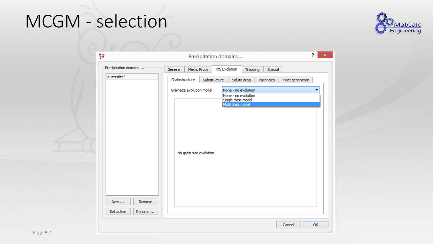### MCGM - selection



| စ္မ်ိဳးႏ              |                                                       | Precipitation domains |                                                                                       |           |                 | 2  |
|-----------------------|-------------------------------------------------------|-----------------------|---------------------------------------------------------------------------------------|-----------|-----------------|----|
| Precipitation domains | Mech. Props<br>General                                | MS Evolution          | Trapping                                                                              | Special   |                 |    |
| austenite*            | Grainstructure                                        | Substructure          | Solute drag                                                                           | Vacancies | Heat generation |    |
| Remove<br>New         | Grainsize evolution model<br>No grain size evolution. |                       | None - no evolution<br>None - no evolution<br>Single class model<br>Multi class model |           |                 |    |
| Set active<br>Rename  |                                                       |                       |                                                                                       |           |                 |    |
|                       |                                                       |                       |                                                                                       |           | Cancel          | OK |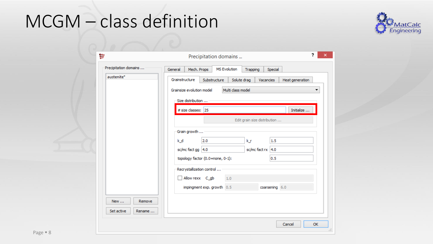### MCGM - class definition



| 혏                     | 2<br>Precipitation domains                                                           |
|-----------------------|--------------------------------------------------------------------------------------|
| Precipitation domains | <b>MS Evolution</b><br>Mech. Props<br>General<br>Trapping<br>Special                 |
| austenite*            | Grainstructure<br>Substructure<br>Solute drag<br>Heat generation<br><b>Vacancies</b> |
|                       | Multi class model<br>Grainsize evolution model<br>Size distribution                  |
|                       | # size classes: $ 25 $<br>Initialize<br>Edit grain size distribution                 |
|                       | Grain growth                                                                         |
|                       | 2.0<br>k_d<br>1.5<br>k_r<br>$sc/mc$ fact gg $ 4.0$<br>$sc/mc$ fact rx $ 4.0$         |
|                       | topology factor (0.0=none, 0-1):<br>0.5                                              |
|                       | Recrystallization control<br>Allow rexx C_gb<br>1.0                                  |
|                       | impingment exp. growth 0.5<br>coarsening 6.0                                         |
| Remove<br>New         |                                                                                      |
| Set active<br>Rename  |                                                                                      |
|                       | <b>OK</b><br>Cancel                                                                  |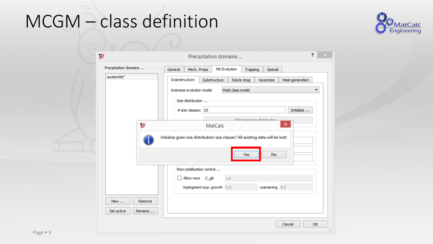### MCGM - class definition



| $\frac{66}{66}$                                 | 2<br>Precipitation domains                                                                                                                                                                                                                                                                                                                                                                                                     |
|-------------------------------------------------|--------------------------------------------------------------------------------------------------------------------------------------------------------------------------------------------------------------------------------------------------------------------------------------------------------------------------------------------------------------------------------------------------------------------------------|
| Precipitation domains<br>austenite*<br>စ္ခ်ိန္ေ | <b>MS Evolution</b><br>General<br>Mech. Props<br>Special<br>Trapping<br>Grainstructure<br>Substructure<br>Solute drag<br>Vacancies<br>Heat generation<br>Multi class model<br>Grainsize evolution model<br>▼<br>Size distribution<br>Initialize<br># size classes: 25<br>Edit arain ciza dietribution.<br>×<br><b>MatCalc</b><br>Initialize grain size distribution size classes? All existing data will be lost!<br>Yes<br>No |
| New<br>Remove<br>Set active<br>Rename           | Recrystallization control<br>Allow rexx C_gb<br>1.0<br>coarsening 6.0<br>impingment exp. growth 0.5                                                                                                                                                                                                                                                                                                                            |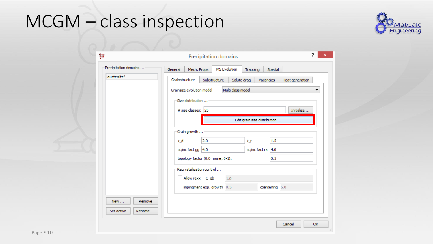# MCGM - class inspection



|                       | っ<br>Precipitation domains                                                           |
|-----------------------|--------------------------------------------------------------------------------------|
| Precipitation domains | <b>MS Evolution</b><br>Mech. Props<br>General<br>Trapping<br>Special                 |
| austenite*            | Grainstructure<br>Substructure<br>Solute drag<br>Heat generation<br><b>Vacancies</b> |
|                       | Multi class model<br>Grainsize evolution model                                       |
|                       | Size distribution                                                                    |
|                       | Initialize<br># size classes: 25                                                     |
|                       | Edit grain size distribution                                                         |
|                       | Grain growth                                                                         |
|                       | 2.0<br>1.5<br>k_d<br>k_r                                                             |
|                       | $sc/mc$ fact gg $ 4.0$<br>sc/mc fact $rx$   4.0                                      |
|                       | topology factor (0.0=none, 0-1):<br>0.5                                              |
|                       | Recrystallization control                                                            |
|                       | Allow rexx C_gb<br>1.0                                                               |
|                       | impingment exp. growth 0.5<br>coarsening 6.0                                         |
| New<br>Remove         |                                                                                      |
| Set active<br>Rename  |                                                                                      |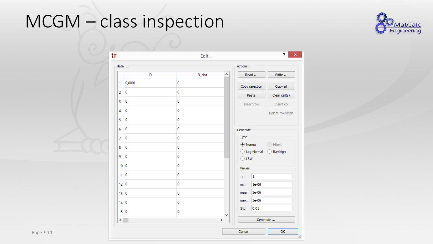### MCGM - class inspection



|                 |                         | Edit          | ?                                                     |
|-----------------|-------------------------|---------------|-------------------------------------------------------|
| data            |                         |               | actions                                               |
|                 | D                       | D_dot         | Read<br>٨<br>Write                                    |
| 1               | 0,0001                  | 0             | Copy selection<br>Copy all                            |
| 2               | $\mathbf 0$             | 0             | Clear cell(s)<br>Paste                                |
| 3               | $\overline{0}$          | 0             | Insert row<br>Insert col                              |
| 4               | $\overline{0}$          | 0             | Delete rows/cols                                      |
| 5               | 0                       | 0             |                                                       |
| 6               | $\overline{0}$          | 0             | Generate                                              |
| 7               | $\overline{0}$          | 0             | Type                                                  |
| 8               | $\overline{0}$          | $\mathbf 0$   | ◉ Normal<br>$\bigcirc$ Hillert                        |
| 9               | $\overline{\mathbf{0}}$ | 0             | O Log-Normal<br>$\bigcirc$ Rayleigh<br>$\bigcirc$ LSW |
| 10 <sup>o</sup> |                         | 0             | Values                                                |
| $11$ 0          |                         | 0             | $f$ :<br>$\mathbf{1}$                                 |
| 12 <sup>0</sup> |                         | 0             | $1e-06$<br>min:                                       |
| 13 <sup>0</sup> |                         | 0             | 2e-06<br>mean:                                        |
| 14 <sup>0</sup> |                         | 0             | 3e-06<br>max:                                         |
| 150             |                         | 0             | 0.05<br>Std.                                          |
| $\langle$       |                         | $\rightarrow$ | v<br>Generate                                         |
|                 |                         |               |                                                       |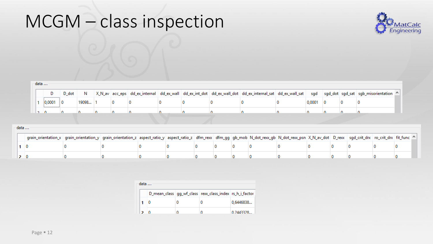### MCGM - class inspection



| data |       |         |  |  |  |  |  |  |                                                                                                                                                  |  |
|------|-------|---------|--|--|--|--|--|--|--------------------------------------------------------------------------------------------------------------------------------------------------|--|
|      |       | D dot N |  |  |  |  |  |  | X_N_av acc_eps dd_ex_internal dd_ex_wall dd_ex_int_dot dd_ex_wall_dot dd_ex_internal_sat dd_ex_wall_sat sgd sgd_dot sgd_sat sgb_misorientation ^ |  |
|      | 0,000 |         |  |  |  |  |  |  |                                                                                                                                                  |  |
|      |       |         |  |  |  |  |  |  |                                                                                                                                                  |  |

| data |                                                                                                                                                                                                                               |  |  |  |  |  |  |  |
|------|-------------------------------------------------------------------------------------------------------------------------------------------------------------------------------------------------------------------------------|--|--|--|--|--|--|--|
|      | grain_orientation_x   grain_orientation_y   grain_orientation_z   aspect_ratio_y   aspect_ratio_z   dfm_rexx   dfm_gg   gb_mob   N_dot_rexx_gb   N_dot_rexx_psn   X_N_av_dot   D_rexx   sgd_crit_drx   ro_crit_drx   fit_func |  |  |  |  |  |  |  |
|      |                                                                                                                                                                                                                               |  |  |  |  |  |  |  |
|      |                                                                                                                                                                                                                               |  |  |  |  |  |  |  |

| data |  |  |                                                               |           |  |  |  |  |  |  |  |
|------|--|--|---------------------------------------------------------------|-----------|--|--|--|--|--|--|--|
|      |  |  | D_mean_class   gg_wf_class   rexx_class_index   rs_h_i_factor |           |  |  |  |  |  |  |  |
|      |  |  |                                                               | 0,6446838 |  |  |  |  |  |  |  |
|      |  |  |                                                               | 0.2443328 |  |  |  |  |  |  |  |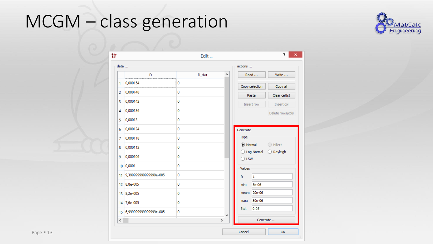# MCGM - class generation



|          |                           | Edit  |                    |                                | ,                   |
|----------|---------------------------|-------|--------------------|--------------------------------|---------------------|
| data     |                           |       |                    | actions                        |                     |
|          | D                         | D_dot | Α                  | Read                           | Write               |
| 1        | 0,000154                  | 0     |                    | Copy selection                 | Copy all            |
| 2        | 0,000148                  | 0     |                    | Paste                          | Clear cell(s)       |
| 3        | 0,000142                  | 0     |                    | Insert row                     | Insert col          |
| 4        | 0,000136                  | 0     |                    |                                | Delete rows/cols    |
| 5        | 0,00013                   | 0     |                    |                                |                     |
| 6        | 0,000124                  | 0     |                    | Generate                       |                     |
| 7        | 0,000118                  | 0     |                    | Type                           |                     |
| 8        | 0,000112                  | 0     |                    | ◉ Normal                       | ◯ Hillert           |
| 9        | 0,000106                  | 0     |                    | O Log-Normal<br>$\bigcirc$ LSW | $\bigcirc$ Rayleigh |
|          | 10 0,0001                 | 0     |                    | Values                         |                     |
|          | 11 9,399999999999999e-005 | 0     |                    | f:<br>1                        |                     |
|          | 12 8,8e-005               | 0     |                    | <b>5e-06</b><br>min:           |                     |
|          | 13 8,2e-005               | 0     |                    | 20e-06<br>mean:                |                     |
|          | 14 7,6e-005               | 0     |                    | 80e-06<br>max:                 |                     |
|          | 15 6,999999999999999e-005 | 0     |                    | 0.05<br>Std.                   |                     |
| $\leq$ . |                           |       | v<br>$\rightarrow$ | Generate                       |                     |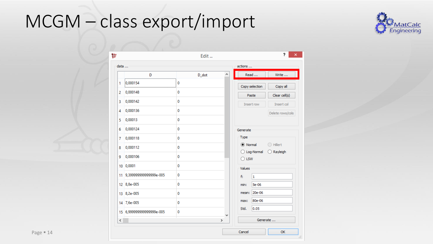### MCGM - class export/import



|        |                           | Edit  |   |                                |                     |
|--------|---------------------------|-------|---|--------------------------------|---------------------|
| data   |                           |       |   | actions                        |                     |
|        | D                         | D_dot | Α | Read                           | Write               |
| 1      | 0,000154                  | 0     |   | Copy selection                 | Copy all            |
| 2      | 0,000148                  | 0     |   | Paste                          | Clear cell(s)       |
| 3      | 0,000142                  | 0     |   | Insert row                     | Insert col          |
| 4      | 0,000136                  | 0     |   |                                | Delete rows/cols    |
| 5      | 0,00013                   | 0     |   |                                |                     |
| 6      | 0,000124                  | 0     |   | Generate                       |                     |
| 7      | 0,000118                  | 0     |   | Type                           |                     |
| 8      | 0,000112                  | 0     |   | (C) Normal                     | ◯ Hillert           |
| 9      | 0,000106                  | 0     |   | O Log-Normal<br>$\bigcirc$ LSW | $\bigcirc$ Rayleigh |
|        | 10 0,0001                 | 0     |   | Values                         |                     |
|        | 11 9,399999999999999e-005 | 0     |   | f:<br>1                        |                     |
|        | 12 8,8e-005               | 0     |   | $5e-06$<br>min:                |                     |
|        | 13 8,2e-005               | 0     |   | 20e-06<br>mean:                |                     |
|        | 14 7,6e-005               | 0     |   | 80e-06<br>max:                 |                     |
|        | 15 6,999999999999999e-005 | 0     |   | 0.05<br>Std.                   |                     |
| $\leq$ |                           |       | ≯ | Generate                       |                     |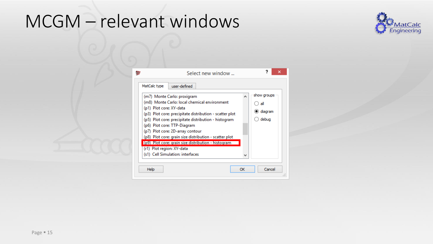### MCGM - relevant windows



|                                         | Select new window                                                                                                                                                                                                                                                                                                                                                                                  |         | ?<br>×                                 |
|-----------------------------------------|----------------------------------------------------------------------------------------------------------------------------------------------------------------------------------------------------------------------------------------------------------------------------------------------------------------------------------------------------------------------------------------------------|---------|----------------------------------------|
| MatCalc type<br>(p1) Plot core: XY-data | user-defined<br>(m7) Monte Carlo: proxigram<br>(m8) Monte Carlo: local chemical environment<br>(p3) Plot core: precipitate distribution - scatter plot<br>(p5) Plot core: precipitate distribution - histogram<br>(p6) Plot core: TTP-Diagram<br>(p7) Plot core: 2D-array contour<br>(p8) Plot core: grain size distribution - scatter plot<br>(p9) Plot core: grain size distribution - histogram | ۰       | show groups<br>all<br>diagram<br>debug |
| (r1) Plot region: XY-data<br>Help       | (s1) Cell Simulation: interfaces                                                                                                                                                                                                                                                                                                                                                                   | v<br>ОК | Cancel                                 |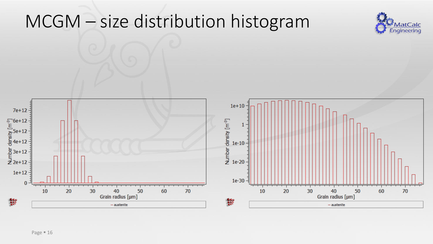### MCGM – size distribution histogram



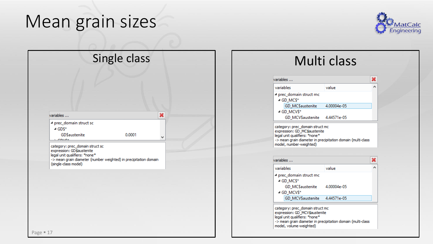### Mean grain sizes



#### Single class

0.0001

×

v

| ariables … |  |  |  |
|------------|--|--|--|
|            |  |  |  |
|            |  |  |  |

4 prec\_domain struct sc

 $\triangle$  GDS\*

GD\$austenite

 $20000+$ 

category: prec\_domain struct sc expression: GD\$austenite legal unit qualifiers: \*none\* -> mean grain diameter (number weighted) in precipitation domain (single-class model)

### Multi class

|             | variables |                                       |       |  |
|-------------|-----------|---------------------------------------|-------|--|
|             | variables |                                       | value |  |
|             |           | 4 prec_domain struct mc<br>⊿ GD MC\$* |       |  |
|             |           | GD_MC\$austenite 4.00004e-05          |       |  |
| ⊿ GD_MCV\$* |           |                                       |       |  |
|             |           | GD MCV\$austenite 4.44571e-05         |       |  |
|             |           |                                       |       |  |

category: prec\_domain struct mc expression: GD\_MC\$austenite legal unit qualifiers: \*none\* -> mean grain diameter in precipitation domain (multi-class model, number-weighted)

| variables                                                        |             |  |  |  |  |
|------------------------------------------------------------------|-------------|--|--|--|--|
| variables                                                        | value       |  |  |  |  |
| 4 prec_domain struct mc<br>⊿ GD_MC\$*                            |             |  |  |  |  |
| GD_MCSaustenite<br>⊿ GD_MCV\$*                                   | 4.00004e-05 |  |  |  |  |
| GD MCV\$austenite 4.44571e-05                                    |             |  |  |  |  |
| category: prec domain struct mc<br>evareccion: CD, MCV suctanite |             |  |  |  |  |

expression: GD\_MCV \$austenite legal unit qualifiers: \*none\* -> mean grain diameter in precipitation domain (multi-class model, volume-weighted)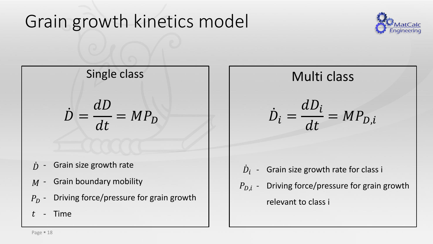### Grain growth kinetics model



### Single class

 $\dot{D} =$  $dD$  $dt$  $= MP<sub>D</sub>$ 

- Grain size growth rate ሶ
- $M$  Grain boundary mobility
- $P_D$  Driving force/pressure for grain growth
- Time  $t\,$

### Multi class

$$
\dot{D}_i = \frac{dD_i}{dt} = MP_{D,i}
$$

- $\dot{D}_{i}$  Grain size growth rate for class i
- $P_{D,i}$  Driving force/pressure for grain growth relevant to class i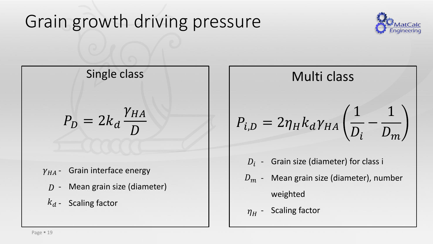### Grain growth driving pressure



Single class

$$
P_D = 2k_d \frac{\gamma_{HA}}{D}
$$

- $\gamma_{HA}$  Grain interface energy
	- $D$  Mean grain size (diameter)
	- $k_d$  Scaling factor

Multi class  
\n
$$
P_{i,D} = 2\eta_H k_d \gamma_{HA} \left( \frac{1}{D_i} - \frac{1}{D_m} \right)
$$

- $D_i$  Grain size (diameter) for class i
- $\,D_m$  Mean grain size (diameter), number weighted
- $\eta_{H}$  Scaling factor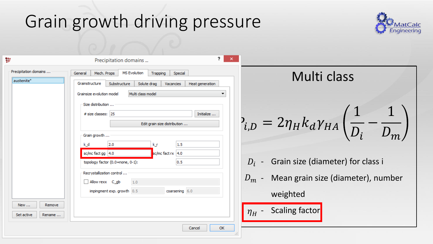### Grain growth driving pressure



1

Multi class

Grain size (diameter) for class i

Mean grain size (diameter), number

−

1

 $D_m$ 

 $D_i$ 

| 턣                                   | 2.<br>×<br>Precipitation domains                                                                                                                                                                        |                                                                         |
|-------------------------------------|---------------------------------------------------------------------------------------------------------------------------------------------------------------------------------------------------------|-------------------------------------------------------------------------|
| Precipitation domains<br>austenite* | <b>MS Evolution</b><br>Mech. Props<br>Special<br>General<br>Trapping<br>Grainstructure<br>Substructure<br>Solute drag<br>Heat generation<br>Vacancies<br>Grainsize evolution model<br>Multi class model | Multi cla                                                               |
|                                     | Size distribution<br># size classes: 25<br>Initialize<br>Edit grain size distribution<br>Grain growth                                                                                                   | $P_{i,D} = 2\eta_H k_d \gamma_{HA}$                                     |
|                                     | 2.0<br>1.5<br>k_d<br>k r<br>$sc/mc$ fact gg $ 4.0$<br>$sc/mc$ fact rx 4.0<br>topology factor (0.0=none, 0-1):<br>0.5<br>Recrystallization control                                                       | $D_i$ - Grain size (diamete                                             |
| New<br>Remove                       | Allow rexx C_gb<br>1.0<br>impingment exp. growth 0.5<br>coarsening 6.0                                                                                                                                  | $D_m$ - Mean grain size (di<br>weighted<br>Scaling factor<br>$\eta_H$ - |
| Set active<br>Rename                | OK<br>Cancel                                                                                                                                                                                            |                                                                         |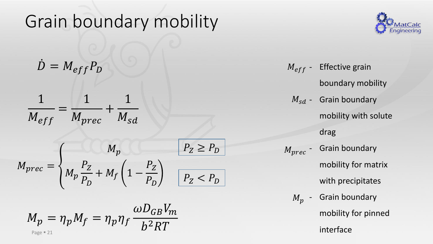### Grain boundary mobility

$$
\dot{D} = M_{eff} P_D
$$

$$
\frac{1}{M_{eff}} = \frac{1}{M_{prec}} + \frac{1}{M_{sd}}
$$

$$
M_{prec} = \begin{cases} M_p & P_Z \ge P_D \\ M_p & \frac{P_Z}{P_D} + M_f \left(1 - \frac{P_Z}{P_D}\right) & P_Z < P_D \end{cases}
$$

$$
M_p = \eta_p M_f = \eta_p \eta_f \frac{\omega D_{GB} V_m}{b^2 RT}
$$



 $\dot{D} = M_{eff} P_D$   $M_{eff}$  - Effective grain boundary mobility  $M_{sd}$  - Grain boundary mobility with solute drag Grain boundary mobility for matrix with precipitates  $M_p$  - Grain boundary mobility for pinned  $M_{eff}$  - $M_{prec}$  -

interface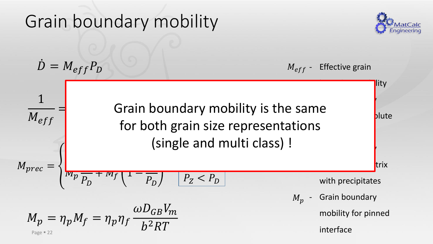#### Grain boundary mobility  $\dot{D} = M_{eff} P_D$  Effective grain lity - Grain boundary blute drag - Grain boundary trix with precipitates Grain boundary mobility for pinned  $M_{eff}$  - $1 \quad \overline{\quad}$   $\qquad \qquad$   $\qquad \qquad$   $\qquad \qquad$   $\qquad \qquad$   $\qquad \qquad$   $\qquad \qquad$   $\qquad \qquad$   $\qquad$   $\qquad \qquad$   $\qquad$   $\qquad$   $\qquad$   $\qquad$   $\qquad$   $\qquad$   $\qquad$   $\qquad$   $\qquad$   $\qquad$   $\qquad$   $\qquad$   $\qquad$   $\qquad$   $\qquad$   $\qquad$   $\qquad$   $\qquad$   $\qquad$   $\qquad$   $\qquad$   $\qquad$  $\overline{M_{eff}}$ = + Jiui<br>for  $M_{prec} =$  $I\!\!V\!\!I_p$  $\overline{\phantom{a}}$  $P_D$  $+$   $M_f$  | 1  $\overline{\phantom{a}}$  $\overline{-\frac{p}{p_D}}$ e and multi cidss) !  $P_Z < P_D$  $M_p = \eta_p M_f = \eta_p \eta_f$  $\omega D_{GB}V_m$  $b^2RT$  $M_{\mathcal{D}}$ Grain boundary mobility is the same for both grain size representations (single and multi class) !

Page  $= 22$ 

interface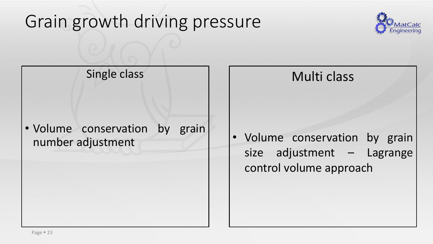### Grain growth driving pressure



Single class

Multi class

• Volume conservation by grain number adjustment

• Volume conservation by grain size adjustment – Lagrange control volume approach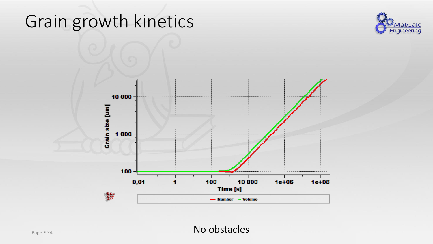



No obstacles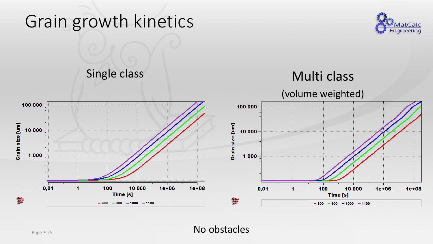



No obstacles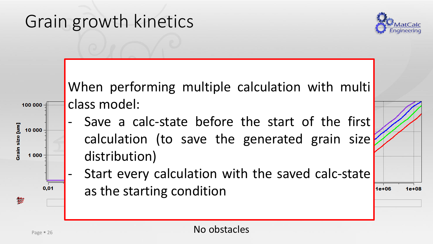

 $1e + 08$